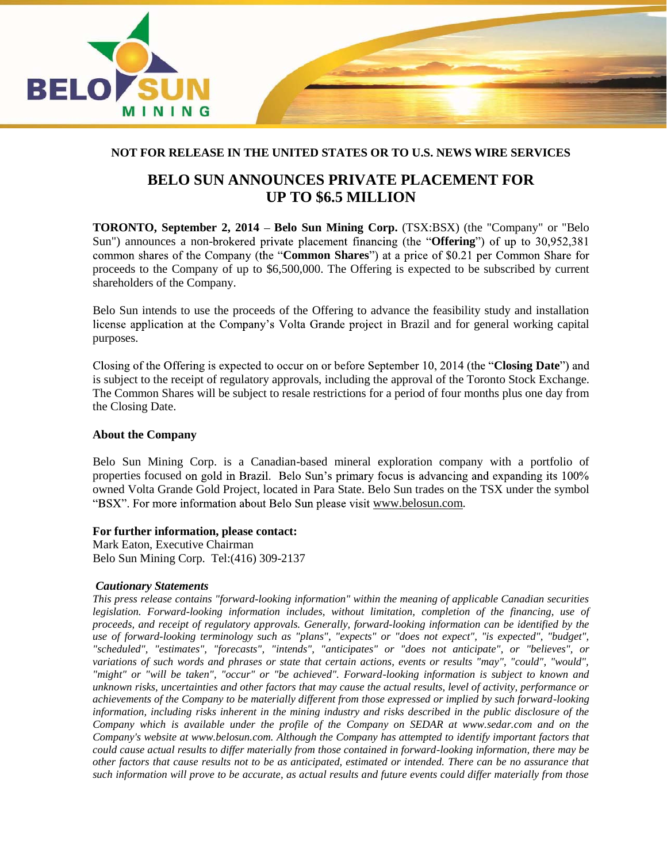

# **NOT FOR RELEASE IN THE UNITED STATES OR TO U.S. NEWS WIRE SERVICES**

# **BELO SUN ANNOUNCES PRIVATE PLACEMENT FOR UP TO \$6.5 MILLION**

**TORONTO, September 2, 2014 – Belo Sun Mining Corp.** (TSX:BSX) (the "Company" or "Belo Sun") announces a non-brokered private placement financing (the "**Offering**") of up to 30,952,381 common shares of the Company (the "**Common Shares**") at a price of \$0.21 per Common Share for proceeds to the Company of up to \$6,500,000. The Offering is expected to be subscribed by current shareholders of the Company.

Belo Sun intends to use the proceeds of the Offering to advance the feasibility study and installation license application at the Company's Volta Grande project in Brazil and for general working capital purposes.

Closing of the Offering is expected to occur on or before September 10, 2014 (the "Closing Date") and is subject to the receipt of regulatory approvals, including the approval of the Toronto Stock Exchange. The Common Shares will be subject to resale restrictions for a period of four months plus one day from the Closing Date.

## **About the Company**

Belo Sun Mining Corp. is a Canadian-based mineral exploration company with a portfolio of properties focused on gold in Brazil. Belo Sun's primary focus is advancing and expanding its 100% owned Volta Grande Gold Project, located in Para State. Belo Sun trades on the TSX under the symbol "BSX". For more information about Belo Sun please visit www.belosun.com.

### **For further information, please contact:**

Mark Eaton, Executive Chairman Belo Sun Mining Corp. Tel:(416) 309-2137

### *Cautionary Statements*

*This press release contains "forward-looking information" within the meaning of applicable Canadian securities legislation. Forward-looking information includes, without limitation, completion of the financing, use of proceeds, and receipt of regulatory approvals. Generally, forward-looking information can be identified by the use of forward-looking terminology such as "plans", "expects" or "does not expect", "is expected", "budget", "scheduled", "estimates", "forecasts", "intends", "anticipates" or "does not anticipate", or "believes", or variations of such words and phrases or state that certain actions, events or results "may", "could", "would", "might" or "will be taken", "occur" or "be achieved". Forward-looking information is subject to known and unknown risks, uncertainties and other factors that may cause the actual results, level of activity, performance or achievements of the Company to be materially different from those expressed or implied by such forward-looking information, including risks inherent in the mining industry and risks described in the public disclosure of the Company which is available under the profile of the Company on SEDAR at www.sedar.com and on the Company's website at www.belosun.com. Although the Company has attempted to identify important factors that could cause actual results to differ materially from those contained in forward-looking information, there may be other factors that cause results not to be as anticipated, estimated or intended. There can be no assurance that such information will prove to be accurate, as actual results and future events could differ materially from those*